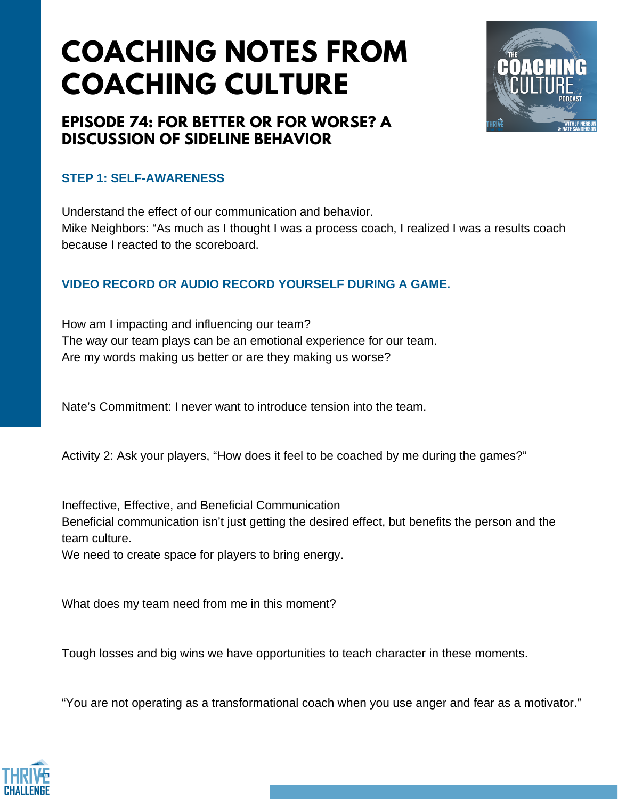# **COACHING NOTES FROM COACHING CULTURE**

### **EPISODE 74: FOR BETTER OR FOR WORSE? A DISCUSSION OF SIDELINE BEHAVIOR**

#### **STEP 1: SELF-AWARENESS**

Understand the effect of our communication and behavior. Mike Neighbors: "As much as I thought I was a process coach, I realized I was a results coach because I reacted to the scoreboard.

### **VIDEO RECORD OR AUDIO RECORD YOURSELF DURING A GAME.**

How am I impacting and influencing our team? The way our team plays can be an emotional experience for our team. Are my words making us better or are they making us worse?

Nate's Commitment: I never want to introduce tension into the team.

Activity 2: Ask your players, "How does it feel to be coached by me during the games?"

Ineffective, Effective, and Beneficial Communication

Beneficial communication isn't just getting the desired effect, but benefits the person and the team culture.

We need to create space for players to bring energy.

What does my team need from me in this moment?

Tough losses and big wins we have opportunities to teach character in these moments.

"You are not operating as a transformational coach when you use anger and fear as a motivator."